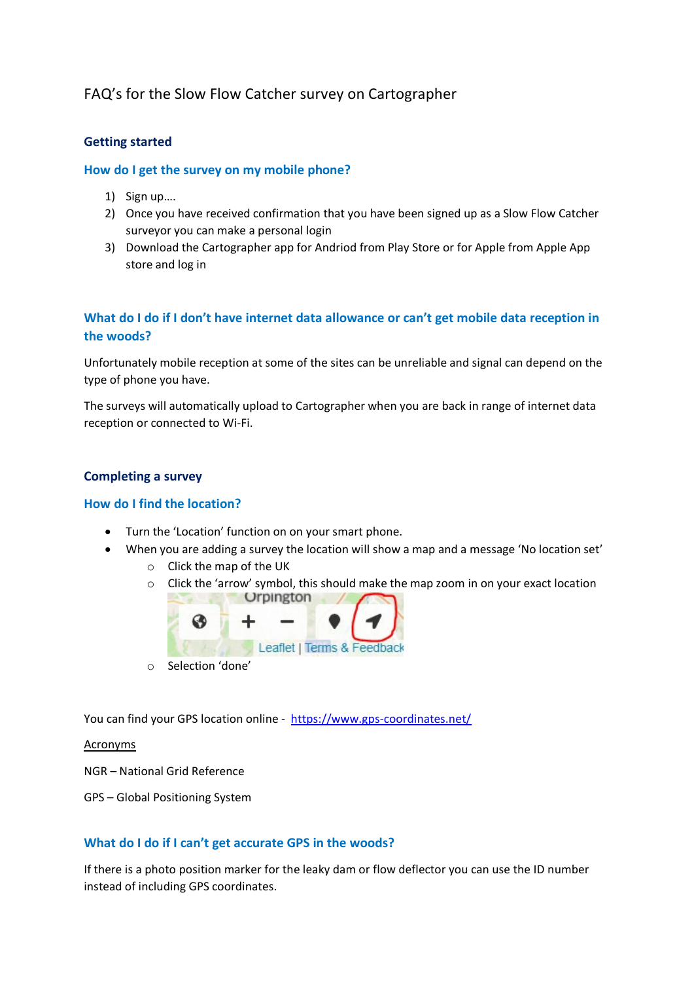# FAQ's for the Slow Flow Catcher survey on Cartographer

# **Getting started**

# **How do I get the survey on my mobile phone?**

- 1) Sign up….
- 2) Once you have received confirmation that you have been signed up as a Slow Flow Catcher surveyor you can make a personal login
- 3) Download the Cartographer app for Andriod from Play Store or for Apple from Apple App store and log in

# **What do I do if I don't have internet data allowance or can't get mobile data reception in the woods?**

Unfortunately mobile reception at some of the sites can be unreliable and signal can depend on the type of phone you have.

The surveys will automatically upload to Cartographer when you are back in range of internet data reception or connected to Wi-Fi.

# **Completing a survey**

## **How do I find the location?**

- Turn the 'Location' function on on your smart phone.
- When you are adding a survey the location will show a map and a message 'No location set' o Click the map of the UK
	- o Click the 'arrow' symbol, this should make the map zoom in on your exact location



You can find your GPS location online - <https://www.gps-coordinates.net/>

## Acronyms

- NGR National Grid Reference
- GPS Global Positioning System

# **What do I do if I can't get accurate GPS in the woods?**

If there is a photo position marker for the leaky dam or flow deflector you can use the ID number instead of including GPS coordinates.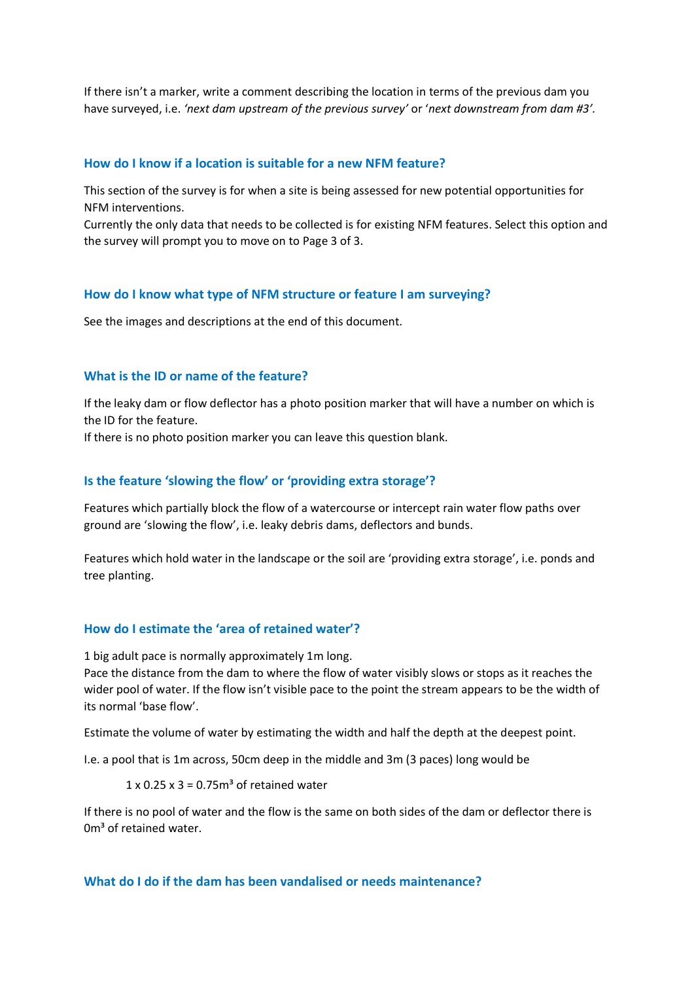If there isn't a marker, write a comment describing the location in terms of the previous dam you have surveyed, i.e. *'next dam upstream of the previous survey'* or '*next downstream from dam #3'.*

#### **How do I know if a location is suitable for a new NFM feature?**

This section of the survey is for when a site is being assessed for new potential opportunities for NFM interventions.

Currently the only data that needs to be collected is for existing NFM features. Select this option and the survey will prompt you to move on to Page 3 of 3.

#### **How do I know what type of NFM structure or feature I am surveying?**

See the images and descriptions at the end of this document.

#### **What is the ID or name of the feature?**

If the leaky dam or flow deflector has a photo position marker that will have a number on which is the ID for the feature.

If there is no photo position marker you can leave this question blank.

#### **Is the feature 'slowing the flow' or 'providing extra storage'?**

Features which partially block the flow of a watercourse or intercept rain water flow paths over ground are 'slowing the flow', i.e. leaky debris dams, deflectors and bunds.

Features which hold water in the landscape or the soil are 'providing extra storage', i.e. ponds and tree planting.

#### **How do I estimate the 'area of retained water'?**

1 big adult pace is normally approximately 1m long. Pace the distance from the dam to where the flow of water visibly slows or stops as it reaches the wider pool of water. If the flow isn't visible pace to the point the stream appears to be the width of its normal 'base flow'.

Estimate the volume of water by estimating the width and half the depth at the deepest point.

I.e. a pool that is 1m across, 50cm deep in the middle and 3m (3 paces) long would be

 $1 \times 0.25 \times 3 = 0.75$  m<sup>3</sup> of retained water

If there is no pool of water and the flow is the same on both sides of the dam or deflector there is 0m<sup>3</sup> of retained water.

#### **What do I do if the dam has been vandalised or needs maintenance?**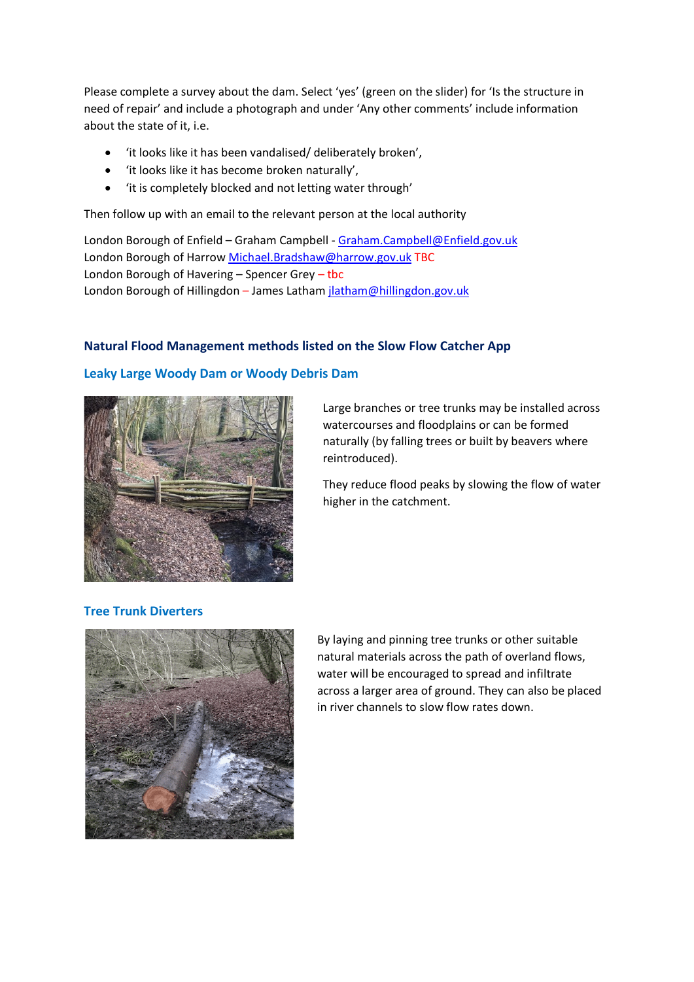Please complete a survey about the dam. Select 'yes' (green on the slider) for 'Is the structure in need of repair' and include a photograph and under 'Any other comments' include information about the state of it, i.e.

- 'it looks like it has been vandalised/ deliberately broken',
- 'it looks like it has become broken naturally',
- 'it is completely blocked and not letting water through'

Then follow up with an email to the relevant person at the local authority

London Borough of Enfield - Graham Campbell - [Graham.Campbell@Enfield.gov.uk](mailto:Graham.Campbell@Enfield.gov.uk) London Borough of Harrow [Michael.Bradshaw@harrow.gov.uk](mailto:Michael.Bradshaw@harrow.gov.uk) TBC London Borough of Havering – Spencer Grey – tbc London Borough of Hillingdon - James Latham [jlatham@hillingdon.gov.uk](mailto:jlatham@hillingdon.gov.uk)

# **Natural Flood Management methods listed on the Slow Flow Catcher App**

## **Leaky Large Woody Dam or Woody Debris Dam**



Large branches or tree trunks may be installed across watercourses and floodplains or can be formed naturally (by falling trees or built by beavers where reintroduced).

They reduce flood peaks by slowing the flow of water higher in the catchment.

## **Tree Trunk Diverters**



By laying and pinning tree trunks or other suitable natural materials across the path of overland flows, water will be encouraged to spread and infiltrate across a larger area of ground. They can also be placed in river channels to slow flow rates down.